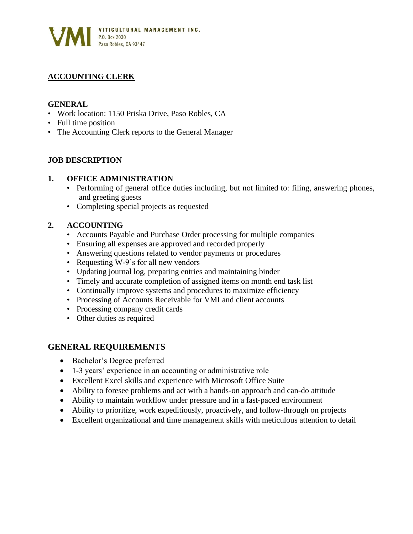

# **ACCOUNTING CLERK**

### **GENERAL**

- Work location: 1150 Priska Drive, Paso Robles, CA
- Full time position
- The Accounting Clerk reports to the General Manager

## **JOB DESCRIPTION**

### **1. OFFICE ADMINISTRATION**

- Performing of general office duties including, but not limited to: filing, answering phones, and greeting guests
- Completing special projects as requested

## **2. ACCOUNTING**

- Accounts Payable and Purchase Order processing for multiple companies
- Ensuring all expenses are approved and recorded properly
- Answering questions related to vendor payments or procedures
- Requesting W-9's for all new vendors
- Updating journal log, preparing entries and maintaining binder
- Timely and accurate completion of assigned items on month end task list
- Continually improve systems and procedures to maximize efficiency
- Processing of Accounts Receivable for VMI and client accounts
- Processing company credit cards
- Other duties as required

## **GENERAL REQUIREMENTS**

- Bachelor's Degree preferred
- 1-3 years' experience in an accounting or administrative role
- Excellent Excel skills and experience with Microsoft Office Suite
- Ability to foresee problems and act with a hands-on approach and can-do attitude
- Ability to maintain workflow under pressure and in a fast-paced environment
- Ability to prioritize, work expeditiously, proactively, and follow-through on projects
- Excellent organizational and time management skills with meticulous attention to detail